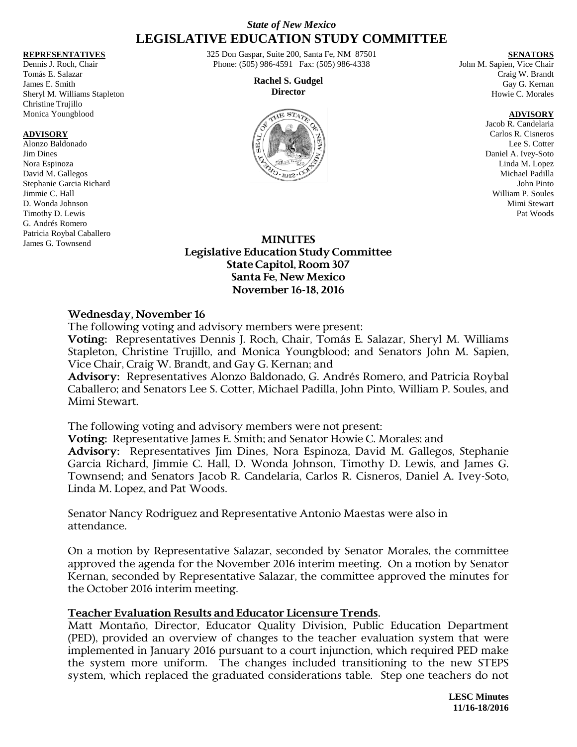# *State of New Mexico* **LEGISLATIVE EDUCATION STUDY COMMITTEE**

#### **REPRESENTATIVES**

Dennis J. Roch, Chair Tomás E. Salazar James E. Smith Sheryl M. Williams Stapleton Christine Trujillo Monica Youngblood

#### **ADVISORY**

Alonzo Baldonado Jim Dines Nora Espinoza David M. Gallegos Stephanie Garcia Richard Jimmie C. Hall D. Wonda Johnson Timothy D. Lewis G. Andrés Romero Patricia Roybal Caballero James G. Townsend

325 Don Gaspar, Suite 200, Santa Fe, NM 87501 Phone: (505) 986-4591 Fax: (505) 986-4338

> **Rachel S. Gudgel Director**



**SENATORS**

John M. Sapien, Vice Chair Craig W. Brandt Gay G. Kernan Howie C. Morales

#### **ADVISORY**

Jacob R. Candelaria Carlos R. Cisneros Lee S. Cotter Daniel A. Ivey-Soto Linda M. Lopez Michael Padilla John Pinto William P. Soules Mimi Stewart Pat Woods

### **MINUTES Legislative Education Study Committee State Capitol, Room 307 Santa Fe, New Mexico November 16-18, 2016**

#### **Wednesday, November 16**

The following voting and advisory members were present:

**Voting:** Representatives Dennis J. Roch, Chair, Tomás E. Salazar, Sheryl M. Williams Stapleton, Christine Trujillo, and Monica Youngblood; and Senators John M. Sapien, Vice Chair, Craig W. Brandt, and Gay G. Kernan; and

**Advisory:** Representatives Alonzo Baldonado, G. Andrés Romero, and Patricia Roybal Caballero; and Senators Lee S. Cotter, Michael Padilla, John Pinto, William P. Soules, and Mimi Stewart.

The following voting and advisory members were not present:

**Voting:** Representative James E. Smith; and Senator Howie C. Morales; and **Advisory:** Representatives Jim Dines, Nora Espinoza, David M. Gallegos, Stephanie Garcia Richard, Jimmie C. Hall, D. Wonda Johnson, Timothy D. Lewis, and James G. Townsend; and Senators Jacob R. Candelaria, Carlos R. Cisneros, Daniel A. Ivey-Soto, Linda M. Lopez, and Pat Woods.

Senator Nancy Rodriguez and Representative Antonio Maestas were also in attendance.

On a motion by Representative Salazar, seconded by Senator Morales, the committee approved the agenda for the November 2016 interim meeting. On a motion by Senator Kernan, seconded by Representative Salazar, the committee approved the minutes for the October 2016 interim meeting.

### **Teacher Evaluation Results and Educator Licensure Trends.**

Matt Montaño, Director, Educator Quality Division, Public Education Department (PED), provided an overview of changes to the teacher evaluation system that were implemented in January 2016 pursuant to a court injunction, which required PED make the system more uniform. The changes included transitioning to the new STEPS system, which replaced the graduated considerations table. Step one teachers do not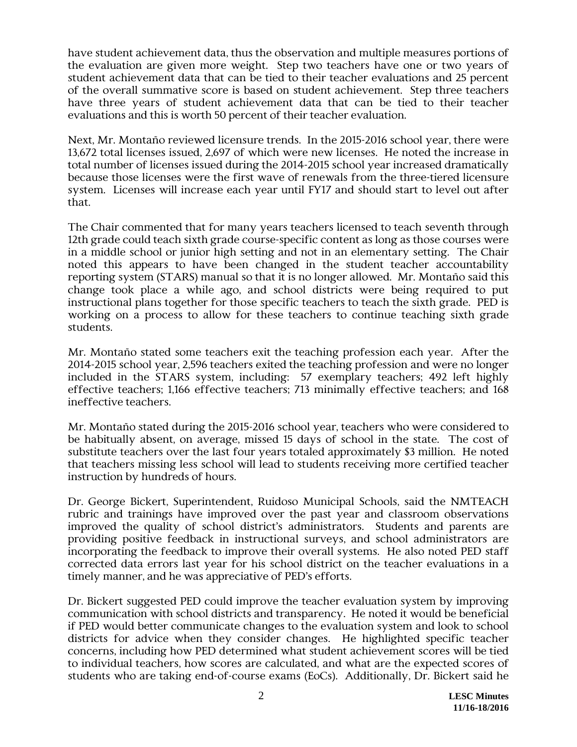have student achievement data, thus the observation and multiple measures portions of the evaluation are given more weight. Step two teachers have one or two years of student achievement data that can be tied to their teacher evaluations and 25 percent of the overall summative score is based on student achievement. Step three teachers have three years of student achievement data that can be tied to their teacher evaluations and this is worth 50 percent of their teacher evaluation.

Next, Mr. Montaño reviewed licensure trends. In the 2015-2016 school year, there were 13,672 total licenses issued, 2,697 of which were new licenses. He noted the increase in total number of licenses issued during the 2014-2015 school year increased dramatically because those licenses were the first wave of renewals from the three-tiered licensure system. Licenses will increase each year until FY17 and should start to level out after that.

The Chair commented that for many years teachers licensed to teach seventh through 12th grade could teach sixth grade course-specific content as long as those courses were in a middle school or junior high setting and not in an elementary setting. The Chair noted this appears to have been changed in the student teacher accountability reporting system (STARS) manual so that it is no longer allowed. Mr. Montaño said this change took place a while ago, and school districts were being required to put instructional plans together for those specific teachers to teach the sixth grade. PED is working on a process to allow for these teachers to continue teaching sixth grade students.

Mr. Montaño stated some teachers exit the teaching profession each year. After the 2014-2015 school year, 2,596 teachers exited the teaching profession and were no longer included in the STARS system, including: 57 exemplary teachers; 492 left highly effective teachers; 1,166 effective teachers; 713 minimally effective teachers; and 168 ineffective teachers.

Mr. Montaño stated during the 2015-2016 school year, teachers who were considered to be habitually absent, on average, missed 15 days of school in the state. The cost of substitute teachers over the last four years totaled approximately \$3 million. He noted that teachers missing less school will lead to students receiving more certified teacher instruction by hundreds of hours.

Dr. George Bickert, Superintendent, Ruidoso Municipal Schools, said the NMTEACH rubric and trainings have improved over the past year and classroom observations improved the quality of school district's administrators. Students and parents are providing positive feedback in instructional surveys, and school administrators are incorporating the feedback to improve their overall systems. He also noted PED staff corrected data errors last year for his school district on the teacher evaluations in a timely manner, and he was appreciative of PED's efforts.

Dr. Bickert suggested PED could improve the teacher evaluation system by improving communication with school districts and transparency. He noted it would be beneficial if PED would better communicate changes to the evaluation system and look to school districts for advice when they consider changes. He highlighted specific teacher concerns, including how PED determined what student achievement scores will be tied to individual teachers, how scores are calculated, and what are the expected scores of students who are taking end-of-course exams (EoCs). Additionally, Dr. Bickert said he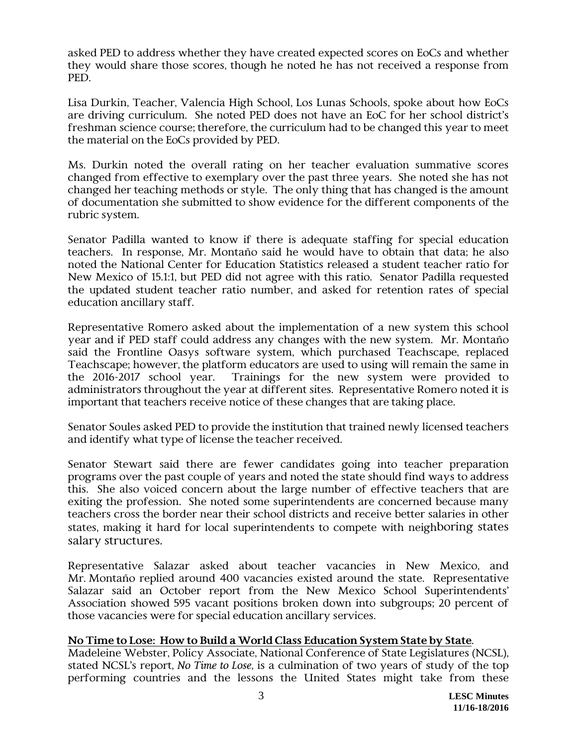asked PED to address whether they have created expected scores on EoCs and whether they would share those scores, though he noted he has not received a response from PED.

Lisa Durkin, Teacher, Valencia High School, Los Lunas Schools, spoke about how EoCs are driving curriculum. She noted PED does not have an EoC for her school district's freshman science course; therefore, the curriculum had to be changed this year to meet the material on the EoCs provided by PED.

Ms. Durkin noted the overall rating on her teacher evaluation summative scores changed from effective to exemplary over the past three years. She noted she has not changed her teaching methods or style. The only thing that has changed is the amount of documentation she submitted to show evidence for the different components of the rubric system.

Senator Padilla wanted to know if there is adequate staffing for special education teachers. In response, Mr. Montaño said he would have to obtain that data; he also noted the National Center for Education Statistics released a student teacher ratio for New Mexico of 15.1:1, but PED did not agree with this ratio. Senator Padilla requested the updated student teacher ratio number, and asked for retention rates of special education ancillary staff.

Representative Romero asked about the implementation of a new system this school year and if PED staff could address any changes with the new system. Mr. Montaño said the Frontline Oasys software system, which purchased Teachscape, replaced Teachscape; however, the platform educators are used to using will remain the same in the 2016-2017 school year. Trainings for the new system were provided to administrators throughout the year at different sites. Representative Romero noted it is important that teachers receive notice of these changes that are taking place.

Senator Soules asked PED to provide the institution that trained newly licensed teachers and identify what type of license the teacher received.

Senator Stewart said there are fewer candidates going into teacher preparation programs over the past couple of years and noted the state should find ways to address this. She also voiced concern about the large number of effective teachers that are exiting the profession. She noted some superintendents are concerned because many teachers cross the border near their school districts and receive better salaries in other states, making it hard for local superintendents to compete with neighboring states salary structures.

Representative Salazar asked about teacher vacancies in New Mexico, and Mr. Montaño replied around 400 vacancies existed around the state. Representative Salazar said an October report from the New Mexico School Superintendents' Association showed 595 vacant positions broken down into subgroups; 20 percent of those vacancies were for special education ancillary services.

# **No Time to Lose: How to Build a World Class Education System State by State**.

Madeleine Webster, Policy Associate, National Conference of State Legislatures (NCSL), stated NCSL's report, *No Time to Lose*, is a culmination of two years of study of the top performing countries and the lessons the United States might take from these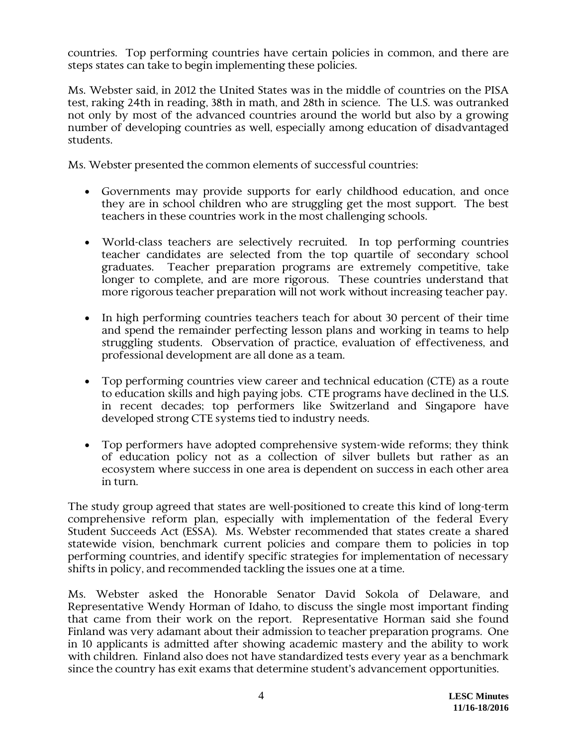countries. Top performing countries have certain policies in common, and there are steps states can take to begin implementing these policies.

Ms. Webster said, in 2012 the United States was in the middle of countries on the PISA test, raking 24th in reading, 38th in math, and 28th in science. The U.S. was outranked not only by most of the advanced countries around the world but also by a growing number of developing countries as well, especially among education of disadvantaged students.

Ms. Webster presented the common elements of successful countries:

- Governments may provide supports for early childhood education, and once they are in school children who are struggling get the most support. The best teachers in these countries work in the most challenging schools.
- World-class teachers are selectively recruited. In top performing countries teacher candidates are selected from the top quartile of secondary school graduates. Teacher preparation programs are extremely competitive, take longer to complete, and are more rigorous. These countries understand that more rigorous teacher preparation will not work without increasing teacher pay.
- In high performing countries teachers teach for about 30 percent of their time and spend the remainder perfecting lesson plans and working in teams to help struggling students. Observation of practice, evaluation of effectiveness, and professional development are all done as a team.
- Top performing countries view career and technical education (CTE) as a route to education skills and high paying jobs. CTE programs have declined in the U.S. in recent decades; top performers like Switzerland and Singapore have developed strong CTE systems tied to industry needs.
- Top performers have adopted comprehensive system-wide reforms; they think of education policy not as a collection of silver bullets but rather as an ecosystem where success in one area is dependent on success in each other area in turn.

The study group agreed that states are well-positioned to create this kind of long-term comprehensive reform plan, especially with implementation of the federal Every Student Succeeds Act (ESSA). Ms. Webster recommended that states create a shared statewide vision, benchmark current policies and compare them to policies in top performing countries, and identify specific strategies for implementation of necessary shifts in policy, and recommended tackling the issues one at a time.

Ms. Webster asked the Honorable Senator David Sokola of Delaware, and Representative Wendy Horman of Idaho, to discuss the single most important finding that came from their work on the report. Representative Horman said she found Finland was very adamant about their admission to teacher preparation programs. One in 10 applicants is admitted after showing academic mastery and the ability to work with children. Finland also does not have standardized tests every year as a benchmark since the country has exit exams that determine student's advancement opportunities.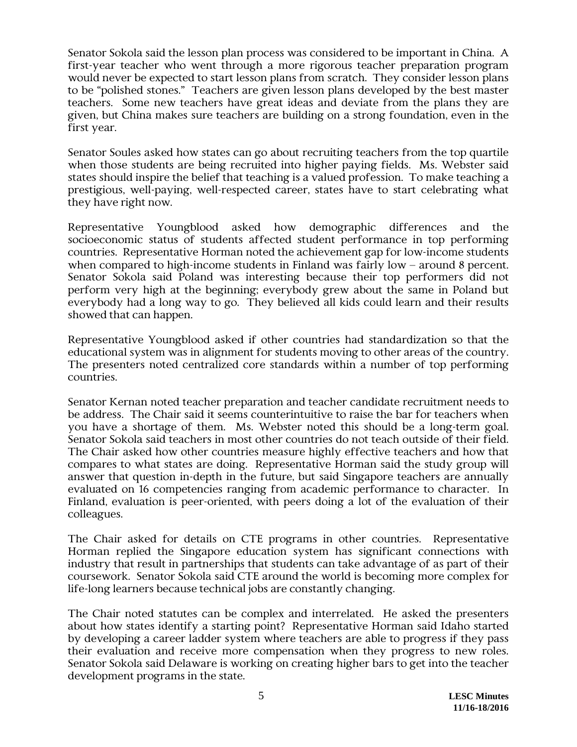Senator Sokola said the lesson plan process was considered to be important in China. A first-year teacher who went through a more rigorous teacher preparation program would never be expected to start lesson plans from scratch. They consider lesson plans to be "polished stones." Teachers are given lesson plans developed by the best master teachers. Some new teachers have great ideas and deviate from the plans they are given, but China makes sure teachers are building on a strong foundation, even in the first year.

Senator Soules asked how states can go about recruiting teachers from the top quartile when those students are being recruited into higher paying fields. Ms. Webster said states should inspire the belief that teaching is a valued profession. To make teaching a prestigious, well-paying, well-respected career, states have to start celebrating what they have right now.

Representative Youngblood asked how demographic differences and the socioeconomic status of students affected student performance in top performing countries. Representative Horman noted the achievement gap for low-income students when compared to high-income students in Finland was fairly low  $-$  around 8 percent. Senator Sokola said Poland was interesting because their top performers did not perform very high at the beginning; everybody grew about the same in Poland but everybody had a long way to go. They believed all kids could learn and their results showed that can happen.

Representative Youngblood asked if other countries had standardization so that the educational system was in alignment for students moving to other areas of the country. The presenters noted centralized core standards within a number of top performing countries.

Senator Kernan noted teacher preparation and teacher candidate recruitment needs to be address. The Chair said it seems counterintuitive to raise the bar for teachers when you have a shortage of them. Ms. Webster noted this should be a long-term goal. Senator Sokola said teachers in most other countries do not teach outside of their field. The Chair asked how other countries measure highly effective teachers and how that compares to what states are doing. Representative Horman said the study group will answer that question in-depth in the future, but said Singapore teachers are annually evaluated on 16 competencies ranging from academic performance to character. In Finland, evaluation is peer-oriented, with peers doing a lot of the evaluation of their colleagues.

The Chair asked for details on CTE programs in other countries. Representative Horman replied the Singapore education system has significant connections with industry that result in partnerships that students can take advantage of as part of their coursework. Senator Sokola said CTE around the world is becoming more complex for life-long learners because technical jobs are constantly changing.

The Chair noted statutes can be complex and interrelated. He asked the presenters about how states identify a starting point? Representative Horman said Idaho started by developing a career ladder system where teachers are able to progress if they pass their evaluation and receive more compensation when they progress to new roles. Senator Sokola said Delaware is working on creating higher bars to get into the teacher development programs in the state.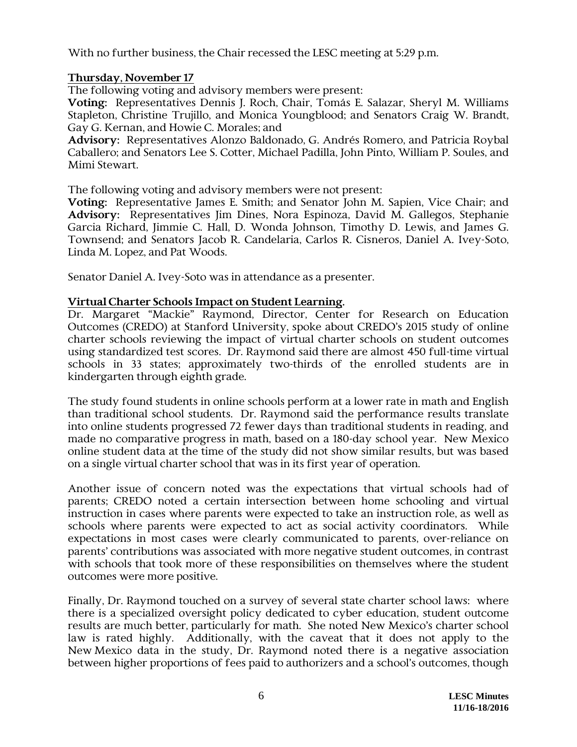With no further business, the Chair recessed the LESC meeting at 5:29 p.m.

## **Thursday, November 17**

The following voting and advisory members were present:

**Voting:** Representatives Dennis J. Roch, Chair, Tomás E. Salazar, Sheryl M. Williams Stapleton, Christine Trujillo, and Monica Youngblood; and Senators Craig W. Brandt, Gay G. Kernan, and Howie C. Morales; and

**Advisory:** Representatives Alonzo Baldonado, G. Andrés Romero, and Patricia Roybal Caballero; and Senators Lee S. Cotter, Michael Padilla, John Pinto, William P. Soules, and Mimi Stewart.

The following voting and advisory members were not present:

**Voting:** Representative James E. Smith; and Senator John M. Sapien, Vice Chair; and **Advisory:** Representatives Jim Dines, Nora Espinoza, David M. Gallegos, Stephanie Garcia Richard, Jimmie C. Hall, D. Wonda Johnson, Timothy D. Lewis, and James G. Townsend; and Senators Jacob R. Candelaria, Carlos R. Cisneros, Daniel A. Ivey-Soto, Linda M. Lopez, and Pat Woods.

Senator Daniel A. Ivey-Soto was in attendance as a presenter.

### **Virtual Charter Schools Impact on Student Learning.**

Dr. Margaret "Mackie" Raymond, Director, Center for Research on Education Outcomes (CREDO) at Stanford University, spoke about CREDO's 2015 study of online charter schools reviewing the impact of virtual charter schools on student outcomes using standardized test scores. Dr. Raymond said there are almost 450 full-time virtual schools in 33 states; approximately two-thirds of the enrolled students are in kindergarten through eighth grade.

The study found students in online schools perform at a lower rate in math and English than traditional school students. Dr. Raymond said the performance results translate into online students progressed 72 fewer days than traditional students in reading, and made no comparative progress in math, based on a 180-day school year. New Mexico online student data at the time of the study did not show similar results, but was based on a single virtual charter school that was in its first year of operation.

Another issue of concern noted was the expectations that virtual schools had of parents; CREDO noted a certain intersection between home schooling and virtual instruction in cases where parents were expected to take an instruction role, as well as schools where parents were expected to act as social activity coordinators. While expectations in most cases were clearly communicated to parents, over-reliance on parents' contributions was associated with more negative student outcomes, in contrast with schools that took more of these responsibilities on themselves where the student outcomes were more positive.

Finally, Dr. Raymond touched on a survey of several state charter school laws: where there is a specialized oversight policy dedicated to cyber education, student outcome results are much better, particularly for math. She noted New Mexico's charter school law is rated highly. Additionally, with the caveat that it does not apply to the New Mexico data in the study, Dr. Raymond noted there is a negative association between higher proportions of fees paid to authorizers and a school's outcomes, though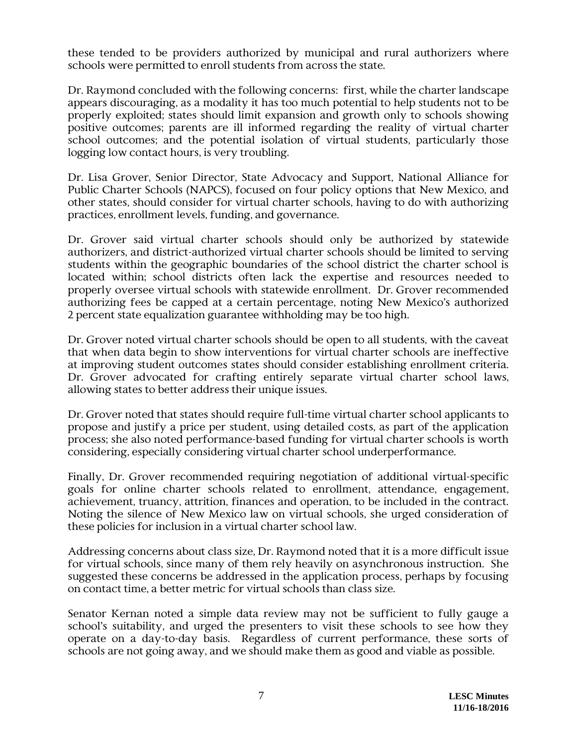these tended to be providers authorized by municipal and rural authorizers where schools were permitted to enroll students from across the state.

Dr. Raymond concluded with the following concerns: first, while the charter landscape appears discouraging, as a modality it has too much potential to help students not to be properly exploited; states should limit expansion and growth only to schools showing positive outcomes; parents are ill informed regarding the reality of virtual charter school outcomes; and the potential isolation of virtual students, particularly those logging low contact hours, is very troubling.

Dr. Lisa Grover, Senior Director, State Advocacy and Support, National Alliance for Public Charter Schools (NAPCS), focused on four policy options that New Mexico, and other states, should consider for virtual charter schools, having to do with authorizing practices, enrollment levels, funding, and governance.

Dr. Grover said virtual charter schools should only be authorized by statewide authorizers, and district-authorized virtual charter schools should be limited to serving students within the geographic boundaries of the school district the charter school is located within; school districts often lack the expertise and resources needed to properly oversee virtual schools with statewide enrollment. Dr. Grover recommended authorizing fees be capped at a certain percentage, noting New Mexico's authorized 2 percent state equalization guarantee withholding may be too high.

Dr. Grover noted virtual charter schools should be open to all students, with the caveat that when data begin to show interventions for virtual charter schools are ineffective at improving student outcomes states should consider establishing enrollment criteria. Dr. Grover advocated for crafting entirely separate virtual charter school laws, allowing states to better address their unique issues.

Dr. Grover noted that states should require full-time virtual charter school applicants to propose and justify a price per student, using detailed costs, as part of the application process; she also noted performance-based funding for virtual charter schools is worth considering, especially considering virtual charter school underperformance.

Finally, Dr. Grover recommended requiring negotiation of additional virtual-specific goals for online charter schools related to enrollment, attendance, engagement, achievement, truancy, attrition, finances and operation, to be included in the contract. Noting the silence of New Mexico law on virtual schools, she urged consideration of these policies for inclusion in a virtual charter school law.

Addressing concerns about class size, Dr. Raymond noted that it is a more difficult issue for virtual schools, since many of them rely heavily on asynchronous instruction. She suggested these concerns be addressed in the application process, perhaps by focusing on contact time, a better metric for virtual schools than class size.

Senator Kernan noted a simple data review may not be sufficient to fully gauge a school's suitability, and urged the presenters to visit these schools to see how they operate on a day-to-day basis. Regardless of current performance, these sorts of schools are not going away, and we should make them as good and viable as possible.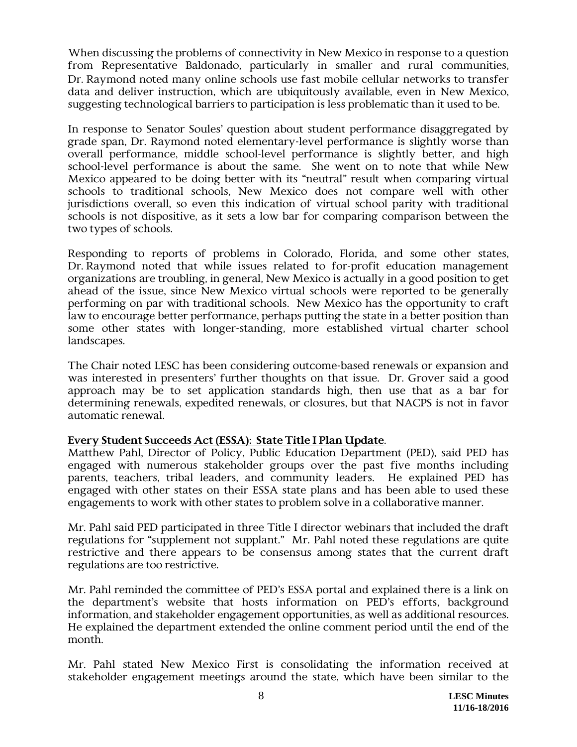When discussing the problems of connectivity in New Mexico in response to a question from Representative Baldonado, particularly in smaller and rural communities, Dr. Raymond noted many online schools use fast mobile cellular networks to transfer data and deliver instruction, which are ubiquitously available, even in New Mexico, suggesting technological barriers to participation is less problematic than it used to be.

In response to Senator Soules' question about student performance disaggregated by grade span, Dr. Raymond noted elementary-level performance is slightly worse than overall performance, middle school-level performance is slightly better, and high school-level performance is about the same. She went on to note that while New Mexico appeared to be doing better with its "neutral" result when comparing virtual schools to traditional schools, New Mexico does not compare well with other jurisdictions overall, so even this indication of virtual school parity with traditional schools is not dispositive, as it sets a low bar for comparing comparison between the two types of schools.

Responding to reports of problems in Colorado, Florida, and some other states, Dr. Raymond noted that while issues related to for-profit education management organizations are troubling, in general, New Mexico is actually in a good position to get ahead of the issue, since New Mexico virtual schools were reported to be generally performing on par with traditional schools. New Mexico has the opportunity to craft law to encourage better performance, perhaps putting the state in a better position than some other states with longer-standing, more established virtual charter school landscapes.

The Chair noted LESC has been considering outcome-based renewals or expansion and was interested in presenters' further thoughts on that issue. Dr. Grover said a good approach may be to set application standards high, then use that as a bar for determining renewals, expedited renewals, or closures, but that NACPS is not in favor automatic renewal.

### **Every Student Succeeds Act (ESSA): State Title I Plan Update**.

Matthew Pahl, Director of Policy, Public Education Department (PED), said PED has engaged with numerous stakeholder groups over the past five months including parents, teachers, tribal leaders, and community leaders. He explained PED has engaged with other states on their ESSA state plans and has been able to used these engagements to work with other states to problem solve in a collaborative manner.

Mr. Pahl said PED participated in three Title I director webinars that included the draft regulations for "supplement not supplant." Mr. Pahl noted these regulations are quite restrictive and there appears to be consensus among states that the current draft regulations are too restrictive.

Mr. Pahl reminded the committee of PED's ESSA portal and explained there is a link on the department's website that hosts information on PED's efforts, background information, and stakeholder engagement opportunities, as well as additional resources. He explained the department extended the online comment period until the end of the month.

Mr. Pahl stated New Mexico First is consolidating the information received at stakeholder engagement meetings around the state, which have been similar to the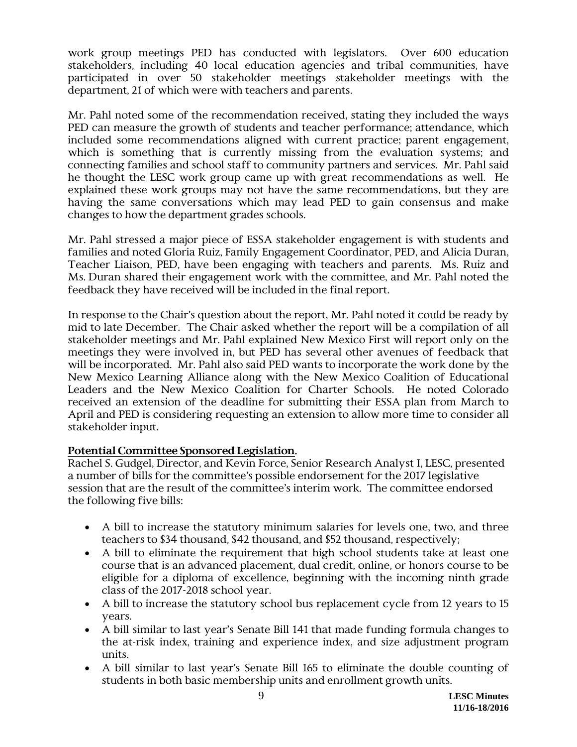work group meetings PED has conducted with legislators. Over 600 education stakeholders, including 40 local education agencies and tribal communities, have participated in over 50 stakeholder meetings stakeholder meetings with the department, 21 of which were with teachers and parents.

Mr. Pahl noted some of the recommendation received, stating they included the ways PED can measure the growth of students and teacher performance; attendance, which included some recommendations aligned with current practice; parent engagement, which is something that is currently missing from the evaluation systems; and connecting families and school staff to community partners and services. Mr. Pahl said he thought the LESC work group came up with great recommendations as well. He explained these work groups may not have the same recommendations, but they are having the same conversations which may lead PED to gain consensus and make changes to how the department grades schools.

Mr. Pahl stressed a major piece of ESSA stakeholder engagement is with students and families and noted Gloria Ruiz, Family Engagement Coordinator, PED, and Alicia Duran, Teacher Liaison, PED, have been engaging with teachers and parents. Ms. Ruiz and Ms. Duran shared their engagement work with the committee, and Mr. Pahl noted the feedback they have received will be included in the final report.

In response to the Chair's question about the report, Mr. Pahl noted it could be ready by mid to late December. The Chair asked whether the report will be a compilation of all stakeholder meetings and Mr. Pahl explained New Mexico First will report only on the meetings they were involved in, but PED has several other avenues of feedback that will be incorporated. Mr. Pahl also said PED wants to incorporate the work done by the New Mexico Learning Alliance along with the New Mexico Coalition of Educational Leaders and the New Mexico Coalition for Charter Schools. He noted Colorado received an extension of the deadline for submitting their ESSA plan from March to April and PED is considering requesting an extension to allow more time to consider all stakeholder input.

# **Potential Committee Sponsored Legislation.**

Rachel S. Gudgel, Director, and Kevin Force, Senior Research Analyst I, LESC, presented a number of bills for the committee's possible endorsement for the 2017 legislative session that are the result of the committee's interim work. The committee endorsed the following five bills:

- A bill to increase the statutory minimum salaries for levels one, two, and three teachers to \$34 thousand, \$42 thousand, and \$52 thousand, respectively;
- A bill to eliminate the requirement that high school students take at least one course that is an advanced placement, dual credit, online, or honors course to be eligible for a diploma of excellence, beginning with the incoming ninth grade class of the 2017-2018 school year.
- A bill to increase the statutory school bus replacement cycle from 12 years to 15 years.
- A bill similar to last year's Senate Bill 141 that made funding formula changes to the at-risk index, training and experience index, and size adjustment program units.
- A bill similar to last year's Senate Bill 165 to eliminate the double counting of students in both basic membership units and enrollment growth units.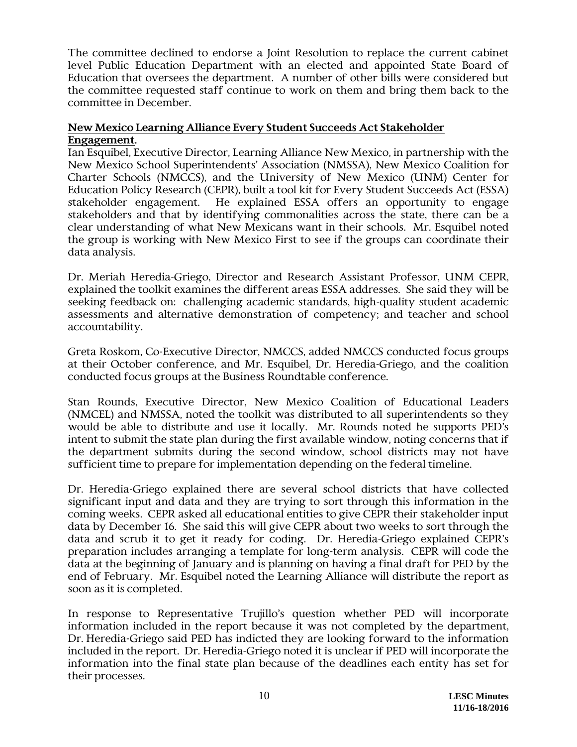The committee declined to endorse a Joint Resolution to replace the current cabinet level Public Education Department with an elected and appointed State Board of Education that oversees the department. A number of other bills were considered but the committee requested staff continue to work on them and bring them back to the committee in December.

## **New Mexico Learning Alliance Every Student Succeeds Act Stakeholder Engagement.**

Ian Esquibel, Executive Director, Learning Alliance New Mexico, in partnership with the New Mexico School Superintendents' Association (NMSSA), New Mexico Coalition for Charter Schools (NMCCS), and the University of New Mexico (UNM) Center for Education Policy Research (CEPR), built a tool kit for Every Student Succeeds Act (ESSA) stakeholder engagement. He explained ESSA offers an opportunity to engage stakeholders and that by identifying commonalities across the state, there can be a clear understanding of what New Mexicans want in their schools. Mr. Esquibel noted the group is working with New Mexico First to see if the groups can coordinate their data analysis.

Dr. Meriah Heredia-Griego, Director and Research Assistant Professor, UNM CEPR, explained the toolkit examines the different areas ESSA addresses. She said they will be seeking feedback on: challenging academic standards, high-quality student academic assessments and alternative demonstration of competency; and teacher and school accountability.

Greta Roskom, Co-Executive Director, NMCCS, added NMCCS conducted focus groups at their October conference, and Mr. Esquibel, Dr. Heredia-Griego, and the coalition conducted focus groups at the Business Roundtable conference.

Stan Rounds, Executive Director, New Mexico Coalition of Educational Leaders (NMCEL) and NMSSA, noted the toolkit was distributed to all superintendents so they would be able to distribute and use it locally. Mr. Rounds noted he supports PED's intent to submit the state plan during the first available window, noting concerns that if the department submits during the second window, school districts may not have sufficient time to prepare for implementation depending on the federal timeline.

Dr. Heredia-Griego explained there are several school districts that have collected significant input and data and they are trying to sort through this information in the coming weeks. CEPR asked all educational entities to give CEPR their stakeholder input data by December 16. She said this will give CEPR about two weeks to sort through the data and scrub it to get it ready for coding. Dr. Heredia-Griego explained CEPR's preparation includes arranging a template for long-term analysis. CEPR will code the data at the beginning of January and is planning on having a final draft for PED by the end of February. Mr. Esquibel noted the Learning Alliance will distribute the report as soon as it is completed.

In response to Representative Trujillo's question whether PED will incorporate information included in the report because it was not completed by the department, Dr. Heredia-Griego said PED has indicted they are looking forward to the information included in the report. Dr. Heredia-Griego noted it is unclear if PED will incorporate the information into the final state plan because of the deadlines each entity has set for their processes.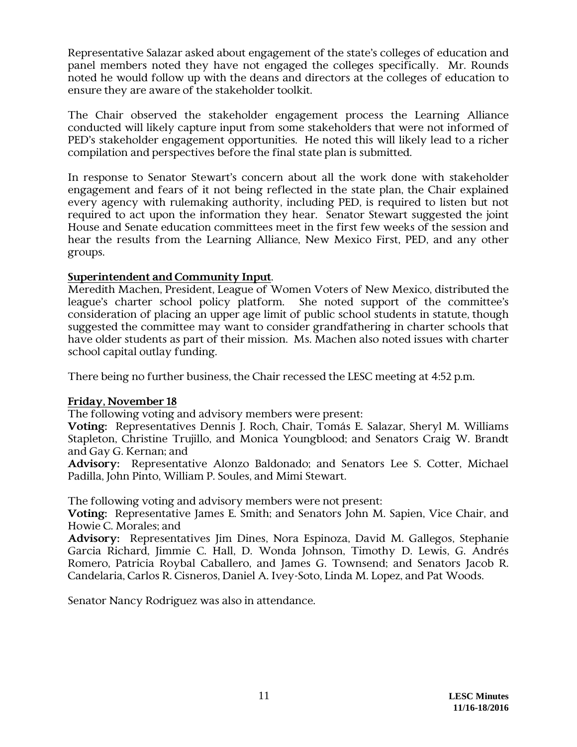Representative Salazar asked about engagement of the state's colleges of education and panel members noted they have not engaged the colleges specifically. Mr. Rounds noted he would follow up with the deans and directors at the colleges of education to ensure they are aware of the stakeholder toolkit.

The Chair observed the stakeholder engagement process the Learning Alliance conducted will likely capture input from some stakeholders that were not informed of PED's stakeholder engagement opportunities. He noted this will likely lead to a richer compilation and perspectives before the final state plan is submitted.

In response to Senator Stewart's concern about all the work done with stakeholder engagement and fears of it not being reflected in the state plan, the Chair explained every agency with rulemaking authority, including PED, is required to listen but not required to act upon the information they hear. Senator Stewart suggested the joint House and Senate education committees meet in the first few weeks of the session and hear the results from the Learning Alliance, New Mexico First, PED, and any other groups.

## **Superintendent and Community Input**.

Meredith Machen, President, League of Women Voters of New Mexico, distributed the league's charter school policy platform. She noted support of the committee's consideration of placing an upper age limit of public school students in statute, though suggested the committee may want to consider grandfathering in charter schools that have older students as part of their mission. Ms. Machen also noted issues with charter school capital outlay funding.

There being no further business, the Chair recessed the LESC meeting at 4:52 p.m.

### **Friday, November 18**

The following voting and advisory members were present:

**Voting:** Representatives Dennis J. Roch, Chair, Tomás E. Salazar, Sheryl M. Williams Stapleton, Christine Trujillo, and Monica Youngblood; and Senators Craig W. Brandt and Gay G. Kernan; and

**Advisory:** Representative Alonzo Baldonado; and Senators Lee S. Cotter, Michael Padilla, John Pinto, William P. Soules, and Mimi Stewart.

The following voting and advisory members were not present:

**Voting:** Representative James E. Smith; and Senators John M. Sapien, Vice Chair, and Howie C. Morales; and

**Advisory:** Representatives Jim Dines, Nora Espinoza, David M. Gallegos, Stephanie Garcia Richard, Jimmie C. Hall, D. Wonda Johnson, Timothy D. Lewis, G. Andrés Romero, Patricia Roybal Caballero, and James G. Townsend; and Senators Jacob R. Candelaria, Carlos R. Cisneros, Daniel A. Ivey-Soto, Linda M. Lopez, and Pat Woods.

Senator Nancy Rodriguez was also in attendance.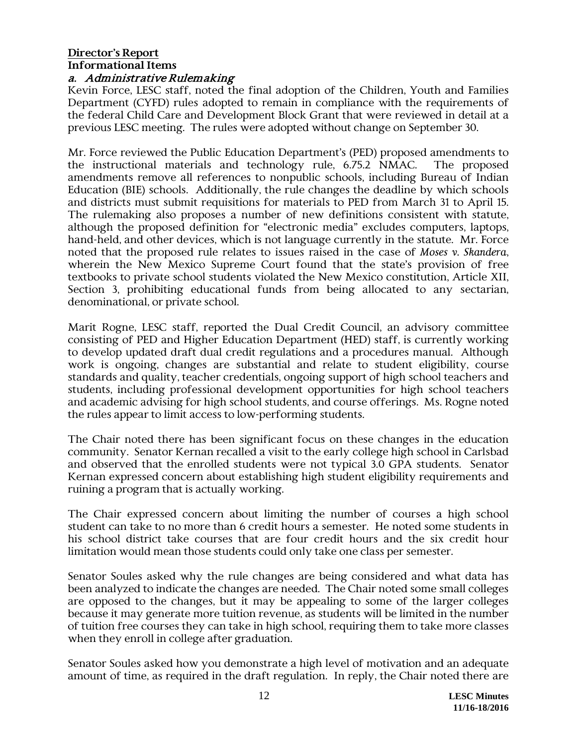#### **Director's Report Informational Items** a. Administrative Rulemaking

Kevin Force, LESC staff, noted the final adoption of the Children, Youth and Families Department (CYFD) rules adopted to remain in compliance with the requirements of the federal Child Care and Development Block Grant that were reviewed in detail at a previous LESC meeting. The rules were adopted without change on September 30.

Mr. Force reviewed the Public Education Department's (PED) proposed amendments to the instructional materials and technology rule, 6.75.2 NMAC. The proposed amendments remove all references to nonpublic schools, including Bureau of Indian Education (BIE) schools. Additionally, the rule changes the deadline by which schools and districts must submit requisitions for materials to PED from March 31 to April 15. The rulemaking also proposes a number of new definitions consistent with statute, although the proposed definition for "electronic media" excludes computers, laptops, hand-held, and other devices, which is not language currently in the statute. Mr. Force noted that the proposed rule relates to issues raised in the case of *Moses v. Skandera*, wherein the New Mexico Supreme Court found that the state's provision of free textbooks to private school students violated the New Mexico constitution, Article XII, Section 3, prohibiting educational funds from being allocated to any sectarian, denominational, or private school.

Marit Rogne, LESC staff, reported the Dual Credit Council, an advisory committee consisting of PED and Higher Education Department (HED) staff, is currently working to develop updated draft dual credit regulations and a procedures manual. Although work is ongoing, changes are substantial and relate to student eligibility, course standards and quality, teacher credentials, ongoing support of high school teachers and students, including professional development opportunities for high school teachers and academic advising for high school students, and course offerings. Ms. Rogne noted the rules appear to limit access to low-performing students.

The Chair noted there has been significant focus on these changes in the education community. Senator Kernan recalled a visit to the early college high school in Carlsbad and observed that the enrolled students were not typical 3.0 GPA students. Senator Kernan expressed concern about establishing high student eligibility requirements and ruining a program that is actually working.

The Chair expressed concern about limiting the number of courses a high school student can take to no more than 6 credit hours a semester. He noted some students in his school district take courses that are four credit hours and the six credit hour limitation would mean those students could only take one class per semester.

Senator Soules asked why the rule changes are being considered and what data has been analyzed to indicate the changes are needed. The Chair noted some small colleges are opposed to the changes, but it may be appealing to some of the larger colleges because it may generate more tuition revenue, as students will be limited in the number of tuition free courses they can take in high school, requiring them to take more classes when they enroll in college after graduation.

Senator Soules asked how you demonstrate a high level of motivation and an adequate amount of time, as required in the draft regulation. In reply, the Chair noted there are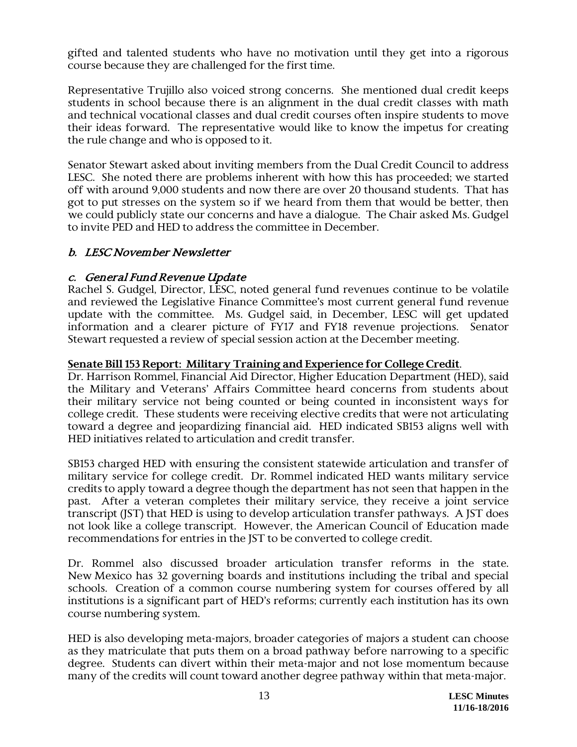gifted and talented students who have no motivation until they get into a rigorous course because they are challenged for the first time.

Representative Trujillo also voiced strong concerns. She mentioned dual credit keeps students in school because there is an alignment in the dual credit classes with math and technical vocational classes and dual credit courses often inspire students to move their ideas forward. The representative would like to know the impetus for creating the rule change and who is opposed to it.

Senator Stewart asked about inviting members from the Dual Credit Council to address LESC. She noted there are problems inherent with how this has proceeded; we started off with around 9,000 students and now there are over 20 thousand students. That has got to put stresses on the system so if we heard from them that would be better, then we could publicly state our concerns and have a dialogue. The Chair asked Ms. Gudgel to invite PED and HED to address the committee in December.

# b. LESC November Newsletter

# c. General Fund Revenue Update

Rachel S. Gudgel, Director, LESC, noted general fund revenues continue to be volatile and reviewed the Legislative Finance Committee's most current general fund revenue update with the committee. Ms. Gudgel said, in December, LESC will get updated information and a clearer picture of FY17 and FY18 revenue projections. Senator Stewart requested a review of special session action at the December meeting.

## **Senate Bill 153 Report: Military Training and Experience for College Credit**.

Dr. Harrison Rommel, Financial Aid Director, Higher Education Department (HED), said the Military and Veterans' Affairs Committee heard concerns from students about their military service not being counted or being counted in inconsistent ways for college credit. These students were receiving elective credits that were not articulating toward a degree and jeopardizing financial aid. HED indicated SB153 aligns well with HED initiatives related to articulation and credit transfer.

SB153 charged HED with ensuring the consistent statewide articulation and transfer of military service for college credit. Dr. Rommel indicated HED wants military service credits to apply toward a degree though the department has not seen that happen in the past. After a veteran completes their military service, they receive a joint service transcript (JST) that HED is using to develop articulation transfer pathways. A JST does not look like a college transcript. However, the American Council of Education made recommendations for entries in the JST to be converted to college credit.

Dr. Rommel also discussed broader articulation transfer reforms in the state. New Mexico has 32 governing boards and institutions including the tribal and special schools. Creation of a common course numbering system for courses offered by all institutions is a significant part of HED's reforms; currently each institution has its own course numbering system.

HED is also developing meta-majors, broader categories of majors a student can choose as they matriculate that puts them on a broad pathway before narrowing to a specific degree. Students can divert within their meta-major and not lose momentum because many of the credits will count toward another degree pathway within that meta-major.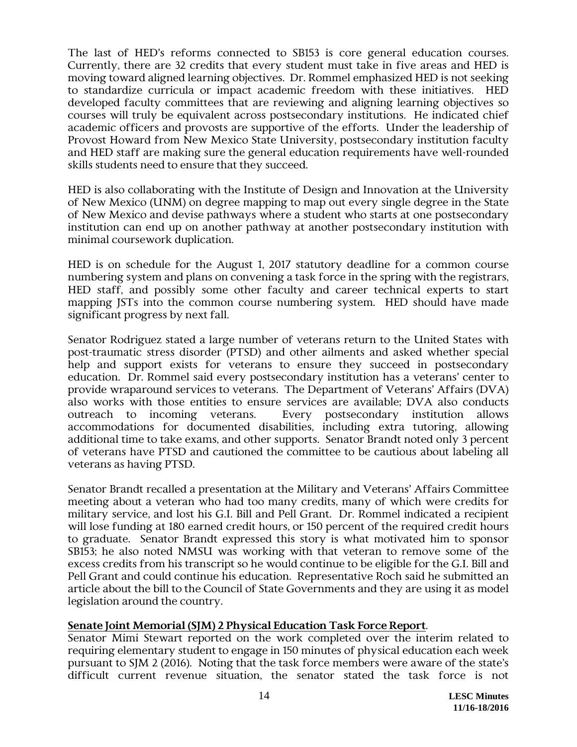The last of HED's reforms connected to SB153 is core general education courses. Currently, there are 32 credits that every student must take in five areas and HED is moving toward aligned learning objectives. Dr. Rommel emphasized HED is not seeking to standardize curricula or impact academic freedom with these initiatives. HED developed faculty committees that are reviewing and aligning learning objectives so courses will truly be equivalent across postsecondary institutions. He indicated chief academic officers and provosts are supportive of the efforts. Under the leadership of Provost Howard from New Mexico State University, postsecondary institution faculty and HED staff are making sure the general education requirements have well-rounded skills students need to ensure that they succeed.

HED is also collaborating with the Institute of Design and Innovation at the University of New Mexico (UNM) on degree mapping to map out every single degree in the State of New Mexico and devise pathways where a student who starts at one postsecondary institution can end up on another pathway at another postsecondary institution with minimal coursework duplication.

HED is on schedule for the August 1, 2017 statutory deadline for a common course numbering system and plans on convening a task force in the spring with the registrars, HED staff, and possibly some other faculty and career technical experts to start mapping JSTs into the common course numbering system. HED should have made significant progress by next fall.

Senator Rodriguez stated a large number of veterans return to the United States with post-traumatic stress disorder (PTSD) and other ailments and asked whether special help and support exists for veterans to ensure they succeed in postsecondary education. Dr. Rommel said every postsecondary institution has a veterans' center to provide wraparound services to veterans. The Department of Veterans' Affairs (DVA) also works with those entities to ensure services are available; DVA also conducts outreach to incoming veterans. Every postsecondary institution allows accommodations for documented disabilities, including extra tutoring, allowing additional time to take exams, and other supports. Senator Brandt noted only 3 percent of veterans have PTSD and cautioned the committee to be cautious about labeling all veterans as having PTSD.

Senator Brandt recalled a presentation at the Military and Veterans' Affairs Committee meeting about a veteran who had too many credits, many of which were credits for military service, and lost his G.I. Bill and Pell Grant. Dr. Rommel indicated a recipient will lose funding at 180 earned credit hours, or 150 percent of the required credit hours to graduate. Senator Brandt expressed this story is what motivated him to sponsor SB153; he also noted NMSU was working with that veteran to remove some of the excess credits from his transcript so he would continue to be eligible for the G.I. Bill and Pell Grant and could continue his education. Representative Roch said he submitted an article about the bill to the Council of State Governments and they are using it as model legislation around the country.

### **Senate Joint Memorial (SJM) 2 Physical Education Task Force Report**.

Senator Mimi Stewart reported on the work completed over the interim related to requiring elementary student to engage in 150 minutes of physical education each week pursuant to SJM 2 (2016). Noting that the task force members were aware of the state's difficult current revenue situation, the senator stated the task force is not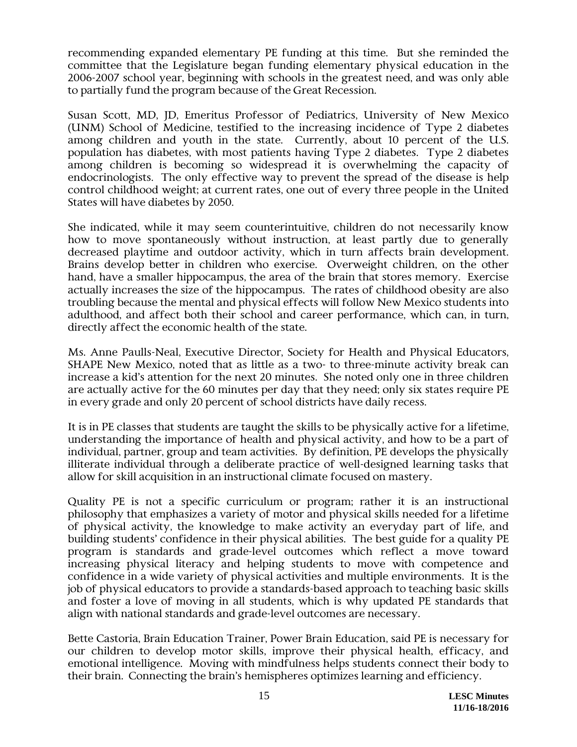recommending expanded elementary PE funding at this time. But she reminded the committee that the Legislature began funding elementary physical education in the 2006-2007 school year, beginning with schools in the greatest need, and was only able to partially fund the program because of the Great Recession.

Susan Scott, MD, JD, Emeritus Professor of Pediatrics, University of New Mexico (UNM) School of Medicine, testified to the increasing incidence of Type 2 diabetes among children and youth in the state. Currently, about 10 percent of the U.S. population has diabetes, with most patients having Type 2 diabetes. Type 2 diabetes among children is becoming so widespread it is overwhelming the capacity of endocrinologists. The only effective way to prevent the spread of the disease is help control childhood weight; at current rates, one out of every three people in the United States will have diabetes by 2050.

She indicated, while it may seem counterintuitive, children do not necessarily know how to move spontaneously without instruction, at least partly due to generally decreased playtime and outdoor activity, which in turn affects brain development. Brains develop better in children who exercise. Overweight children, on the other hand, have a smaller hippocampus, the area of the brain that stores memory. Exercise actually increases the size of the hippocampus. The rates of childhood obesity are also troubling because the mental and physical effects will follow New Mexico students into adulthood, and affect both their school and career performance, which can, in turn, directly affect the economic health of the state.

Ms. Anne Paulls-Neal, Executive Director, Society for Health and Physical Educators, SHAPE New Mexico, noted that as little as a two- to three-minute activity break can increase a kid's attention for the next 20 minutes. She noted only one in three children are actually active for the 60 minutes per day that they need; only six states require PE in every grade and only 20 percent of school districts have daily recess.

It is in PE classes that students are taught the skills to be physically active for a lifetime, understanding the importance of health and physical activity, and how to be a part of individual, partner, group and team activities. By definition, PE develops the physically illiterate individual through a deliberate practice of well-designed learning tasks that allow for skill acquisition in an instructional climate focused on mastery.

Quality PE is not a specific curriculum or program; rather it is an instructional philosophy that emphasizes a variety of motor and physical skills needed for a lifetime of physical activity, the knowledge to make activity an everyday part of life, and building students' confidence in their physical abilities. The best guide for a quality PE program is standards and grade-level outcomes which reflect a move toward increasing physical literacy and helping students to move with competence and confidence in a wide variety of physical activities and multiple environments. It is the job of physical educators to provide a standards-based approach to teaching basic skills and foster a love of moving in all students, which is why updated PE standards that align with national standards and grade-level outcomes are necessary.

Bette Castoria, Brain Education Trainer, Power Brain Education, said PE is necessary for our children to develop motor skills, improve their physical health, efficacy, and emotional intelligence. Moving with mindfulness helps students connect their body to their brain. Connecting the brain's hemispheres optimizes learning and efficiency.